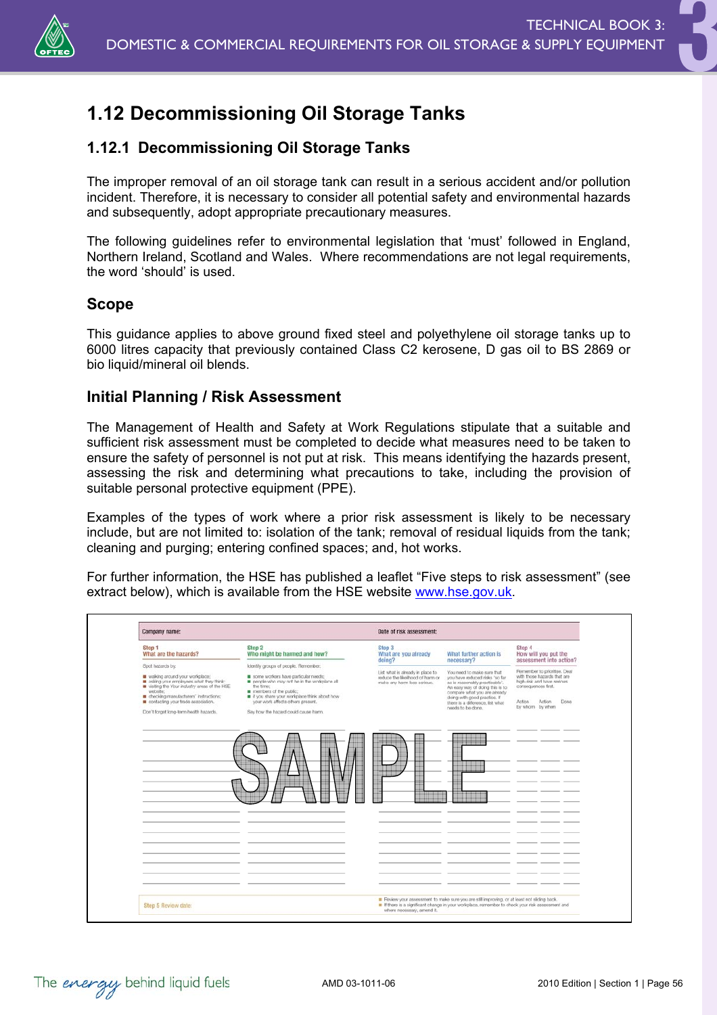

# **1.12 Decommissioning Oil Storage Tanks**

# **1.12.1 Decommissioning Oil Storage Tanks**

The improper removal of an oil storage tank can result in a serious accident and/or pollution incident. Therefore, it is necessary to consider all potential safety and environmental hazards and subsequently, adopt appropriate precautionary measures.

The following guidelines refer to environmental legislation that 'must' followed in England, Northern Ireland, Scotland and Wales. Where recommendations are not legal requirements, the word 'should' is used.

### **Scope**

This guidance applies to above ground fixed steel and polyethylene oil storage tanks up to 6000 litres capacity that previously contained Class C2 kerosene, D gas oil to BS 2869 or bio liquid/mineral oil blends.

### **Initial Planning / Risk Assessment**

The Management of Health and Safety at Work Regulations stipulate that a suitable and sufficient risk assessment must be completed to decide what measures need to be taken to ensure the safety of personnel is not put at risk. This means identifying the hazards present, assessing the risk and determining what precautions to take, including the provision of suitable personal protective equipment (PPE).

Examples of the types of work where a prior risk assessment is likely to be necessary include, but are not limited to: isolation of the tank; removal of residual liquids from the tank; cleaning and purging; entering confined spaces; and, hot works.

For further information, the HSE has published a leaflet "Five steps to risk assessment" (see extract below), which is available from the HSE website www.hse.gov.uk.

| Step 2<br>Step 4<br>Step 1<br>Step 3<br>Who might be harmed and how?<br>What are you already<br>What further action is<br>What are the hazards?<br>How will you put the<br>doing?<br>necessary?<br>assessment into action?<br>Spot hazards by:<br>Identity groups of people. Remember:<br>Remember to prioritise. Deal<br>List what is already in place to<br>You need to make sure that<br>walking around your workplace:<br>some workers have particular needs;<br>with those hazards that are<br>reduce the likelihood of harm or<br>you have reduced risks 'so far<br>asking your employees what they think:<br>people who may not be in the workplace all<br>high-risk and have serious<br>as is reasonably practicable'.<br>make any harm less serious.<br>visiting the Your industry areas of the HSE<br>the time:<br>consequences first.<br>An easy way of doing this is to<br>website:<br>members of the public;<br>compare what you are already<br>checking manufacturers' instructions;<br># if you share your workplace think about how<br>doing with good practice. If<br>contacting your trade association.<br>your work affects others present.<br>Action<br><b>Action</b><br>Done<br>there is a difference. Ist what<br>by whom by when<br>needs to be done.<br>Say how the hazard could cause harm.<br>Don't forget long-term health hazards.<br><br><br> | Company name:       |  | Date of risk assessment:                                                                                                                                                                        |  |  |
|----------------------------------------------------------------------------------------------------------------------------------------------------------------------------------------------------------------------------------------------------------------------------------------------------------------------------------------------------------------------------------------------------------------------------------------------------------------------------------------------------------------------------------------------------------------------------------------------------------------------------------------------------------------------------------------------------------------------------------------------------------------------------------------------------------------------------------------------------------------------------------------------------------------------------------------------------------------------------------------------------------------------------------------------------------------------------------------------------------------------------------------------------------------------------------------------------------------------------------------------------------------------------------------------------------------------------------------------------------------------------|---------------------|--|-------------------------------------------------------------------------------------------------------------------------------------------------------------------------------------------------|--|--|
|                                                                                                                                                                                                                                                                                                                                                                                                                                                                                                                                                                                                                                                                                                                                                                                                                                                                                                                                                                                                                                                                                                                                                                                                                                                                                                                                                                            |                     |  |                                                                                                                                                                                                 |  |  |
|                                                                                                                                                                                                                                                                                                                                                                                                                                                                                                                                                                                                                                                                                                                                                                                                                                                                                                                                                                                                                                                                                                                                                                                                                                                                                                                                                                            |                     |  |                                                                                                                                                                                                 |  |  |
|                                                                                                                                                                                                                                                                                                                                                                                                                                                                                                                                                                                                                                                                                                                                                                                                                                                                                                                                                                                                                                                                                                                                                                                                                                                                                                                                                                            |                     |  |                                                                                                                                                                                                 |  |  |
|                                                                                                                                                                                                                                                                                                                                                                                                                                                                                                                                                                                                                                                                                                                                                                                                                                                                                                                                                                                                                                                                                                                                                                                                                                                                                                                                                                            |                     |  |                                                                                                                                                                                                 |  |  |
|                                                                                                                                                                                                                                                                                                                                                                                                                                                                                                                                                                                                                                                                                                                                                                                                                                                                                                                                                                                                                                                                                                                                                                                                                                                                                                                                                                            | Step 5 Review date: |  | Review your assessment to make sure you are still improving, or at least not sliding back.<br>If If there is a significant change in your workplace, remember to check your risk assessment and |  |  |

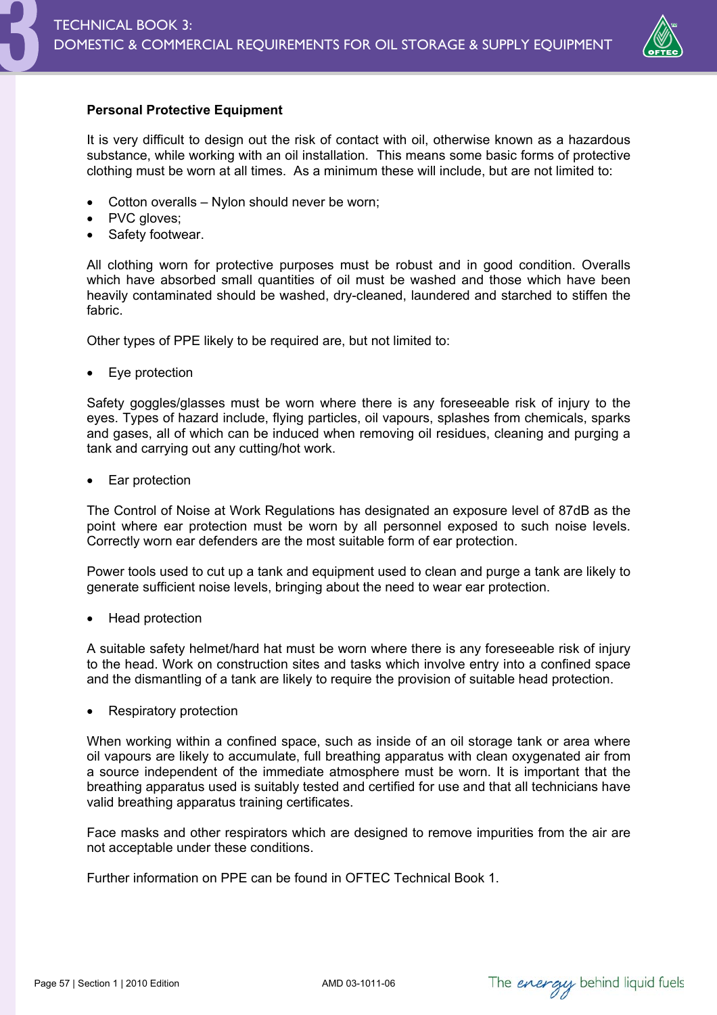

# **Personal Protective Equipment**

It is very difficult to design out the risk of contact with oil, otherwise known as a hazardous substance, while working with an oil installation. This means some basic forms of protective clothing must be worn at all times. As a minimum these will include, but are not limited to:

- Cotton overalls Nylon should never be worn;
- PVC gloves;
- Safety footwear.

All clothing worn for protective purposes must be robust and in good condition. Overalls which have absorbed small quantities of oil must be washed and those which have been heavily contaminated should be washed, dry-cleaned, laundered and starched to stiffen the fabric.

Other types of PPE likely to be required are, but not limited to:

• Eye protection

Safety goggles/glasses must be worn where there is any foreseeable risk of injury to the eyes. Types of hazard include, flying particles, oil vapours, splashes from chemicals, sparks and gases, all of which can be induced when removing oil residues, cleaning and purging a tank and carrying out any cutting/hot work.

Ear protection

The Control of Noise at Work Regulations has designated an exposure level of 87dB as the point where ear protection must be worn by all personnel exposed to such noise levels. Correctly worn ear defenders are the most suitable form of ear protection.

Power tools used to cut up a tank and equipment used to clean and purge a tank are likely to generate sufficient noise levels, bringing about the need to wear ear protection.

• Head protection

A suitable safety helmet/hard hat must be worn where there is any foreseeable risk of injury to the head. Work on construction sites and tasks which involve entry into a confined space and the dismantling of a tank are likely to require the provision of suitable head protection.

Respiratory protection

When working within a confined space, such as inside of an oil storage tank or area where oil vapours are likely to accumulate, full breathing apparatus with clean oxygenated air from a source independent of the immediate atmosphere must be worn. It is important that the breathing apparatus used is suitably tested and certified for use and that all technicians have valid breathing apparatus training certificates.

Face masks and other respirators which are designed to remove impurities from the air are not acceptable under these conditions.

Further information on PPE can be found in OFTEC Technical Book 1.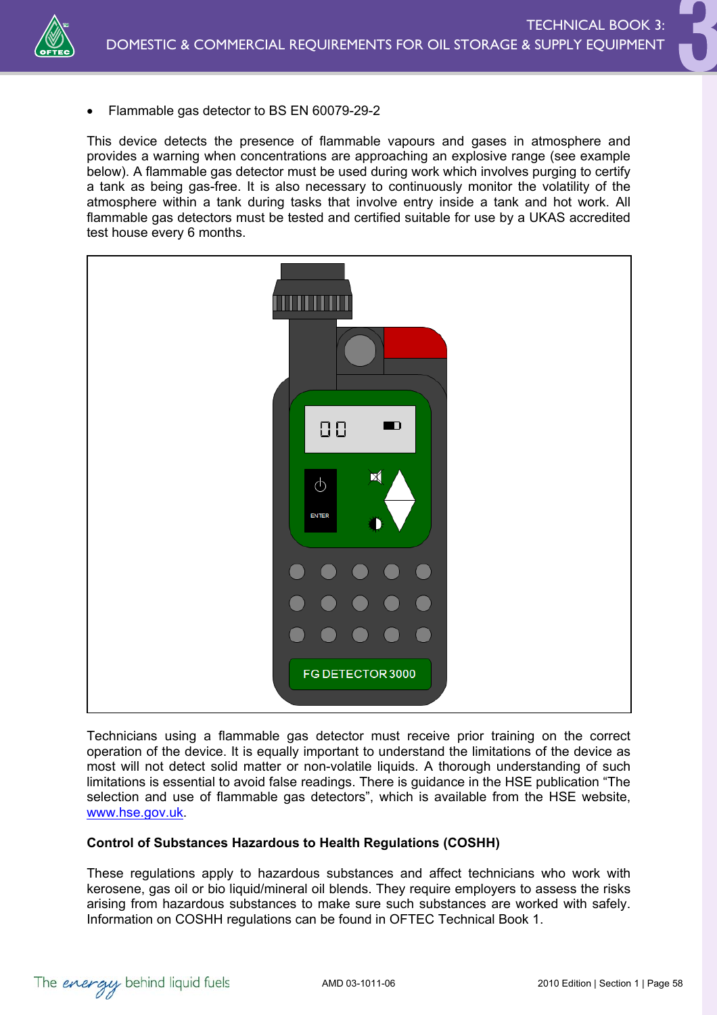

• Flammable gas detector to BS EN 60079-29-2

This device detects the presence of flammable vapours and gases in atmosphere and provides a warning when concentrations are approaching an explosive range (see example below). A flammable gas detector must be used during work which involves purging to certify a tank as being gas-free. It is also necessary to continuously monitor the volatility of the atmosphere within a tank during tasks that involve entry inside a tank and hot work. All flammable gas detectors must be tested and certified suitable for use by a UKAS accredited test house every 6 months.



Technicians using a flammable gas detector must receive prior training on the correct operation of the device. It is equally important to understand the limitations of the device as most will not detect solid matter or non-volatile liquids. A thorough understanding of such limitations is essential to avoid false readings. There is guidance in the HSE publication "The selection and use of flammable gas detectors", which is available from the HSE website, www.hse.gov.uk.

### **Control of Substances Hazardous to Health Regulations (COSHH)**

These regulations apply to hazardous substances and affect technicians who work with kerosene, gas oil or bio liquid/mineral oil blends. They require employers to assess the risks arising from hazardous substances to make sure such substances are worked with safely. Information on COSHH regulations can be found in OFTEC Technical Book 1.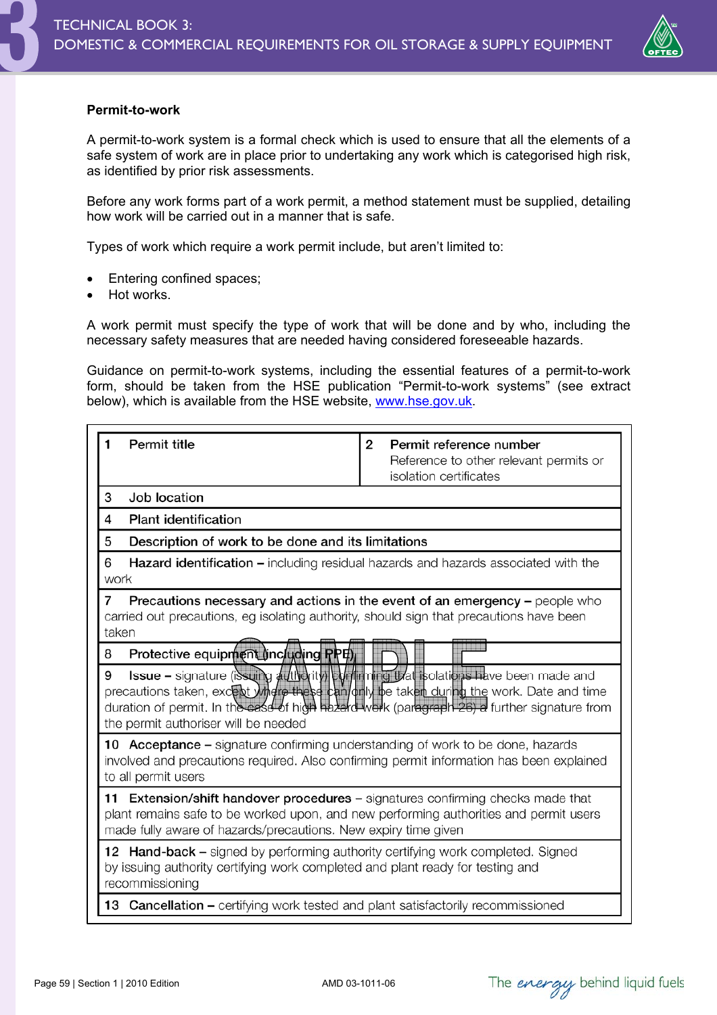

### **Permit-to-work**

A permit-to-work system is a formal check which is used to ensure that all the elements of a safe system of work are in place prior to undertaking any work which is categorised high risk, as identified by prior risk assessments.

Before any work forms part of a work permit, a method statement must be supplied, detailing how work will be carried out in a manner that is safe.

Types of work which require a work permit include, but aren't limited to:

- Entering confined spaces;
- Hot works.

A work permit must specify the type of work that will be done and by who, including the necessary safety measures that are needed having considered foreseeable hazards.

Guidance on permit-to-work systems, including the essential features of a permit-to-work form, should be taken from the HSE publication "Permit-to-work systems" (see extract below), which is available from the HSE website, www.hse.gov.uk.

| <b>Permit title</b><br>1                                                                                                                                                                                                                   | 2<br>Permit reference number<br>Reference to other relevant permits or                                                               |  |  |  |  |
|--------------------------------------------------------------------------------------------------------------------------------------------------------------------------------------------------------------------------------------------|--------------------------------------------------------------------------------------------------------------------------------------|--|--|--|--|
|                                                                                                                                                                                                                                            | isolation certificates                                                                                                               |  |  |  |  |
| 3<br>Job location                                                                                                                                                                                                                          |                                                                                                                                      |  |  |  |  |
| <b>Plant identification</b><br>4                                                                                                                                                                                                           |                                                                                                                                      |  |  |  |  |
| 5<br>Description of work to be done and its limitations                                                                                                                                                                                    |                                                                                                                                      |  |  |  |  |
| 6<br>work                                                                                                                                                                                                                                  | <b>Hazard identification –</b> including residual hazards and hazards associated with the                                            |  |  |  |  |
| 7<br>carried out precautions, eg isolating authority, should sign that precautions have been<br>taken                                                                                                                                      | Precautions necessary and actions in the event of an emergency - people who                                                          |  |  |  |  |
| Protective equipment lincluding RPE)<br>8                                                                                                                                                                                                  |                                                                                                                                      |  |  |  |  |
| 9<br>precautions taken, excent where these can duly be taken during the work. Date and time<br>duration of permit. In the case of high hazard work (paragraph 26) a further signature from<br>the permit authoriser will be needed         | <b>Issue –</b> signature (issum $\frac{d}{dx}$ ) $\frac{d}{dx}$ (iv) $\frac{d}{dx}$ (in $\frac{d}{dx}$ isolations have been made and |  |  |  |  |
| 10 Acceptance – signature confirming understanding of work to be done, hazards<br>involved and precautions required. Also confirming permit information has been explained<br>to all permit users                                          |                                                                                                                                      |  |  |  |  |
| 11 Extension/shift handover procedures - signatures confirming checks made that<br>plant remains safe to be worked upon, and new performing authorities and permit users<br>made fully aware of hazards/precautions. New expiry time given |                                                                                                                                      |  |  |  |  |
| <b>12 Hand-back –</b> signed by performing authority certifying work completed. Signed<br>by issuing authority certifying work completed and plant ready for testing and<br>recommissioning                                                |                                                                                                                                      |  |  |  |  |
| <b>13 Cancellation –</b> certifying work tested and plant satisfactorily recommissioned                                                                                                                                                    |                                                                                                                                      |  |  |  |  |

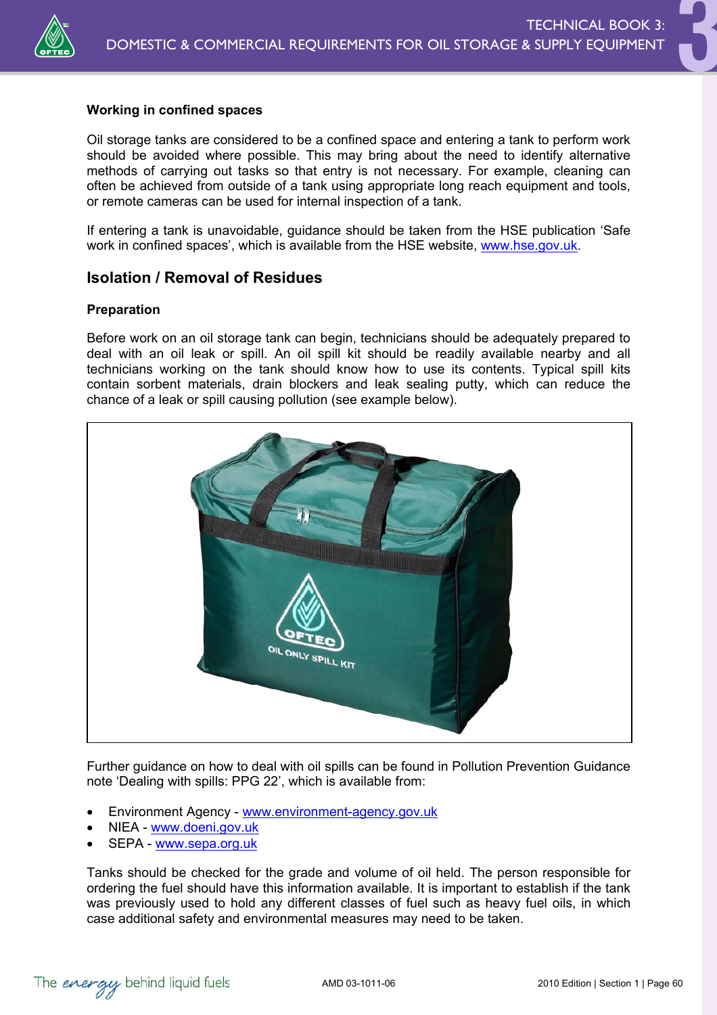

### **Working in confined spaces**

Oil storage tanks are considered to be a confined space and entering a tank to perform work should be avoided where possible. This may bring about the need to identify alternative methods of carrying out tasks so that entry is not necessary. For example, cleaning can often be achieved from outside of a tank using appropriate long reach equipment and tools, or remote cameras can be used for internal inspection of a tank.

If entering a tank is unavoidable, guidance should be taken from the HSE publication 'Safe work in confined spaces', which is available from the HSE website, www.hse.gov.uk.

### **Isolation / Removal of Residues**

#### **Preparation**

Before work on an oil storage tank can begin, technicians should be adequately prepared to deal with an oil leak or spill. An oil spill kit should be readily available nearby and all technicians working on the tank should know how to use its contents. Typical spill kits contain sorbent materials, drain blockers and leak sealing putty, which can reduce the chance of a leak or spill causing pollution (see example below).



Further guidance on how to deal with oil spills can be found in Pollution Prevention Guidance note 'Dealing with spills: PPG 22', which is available from:

- Environment Agency www.environment-agency.gov.uk
- NIEA www.doeni.gov.uk
- SEPA www.sepa.org.uk

Tanks should be checked for the grade and volume of oil held. The person responsible for ordering the fuel should have this information available. It is important to establish if the tank was previously used to hold any different classes of fuel such as heavy fuel oils, in which case additional safety and environmental measures may need to be taken.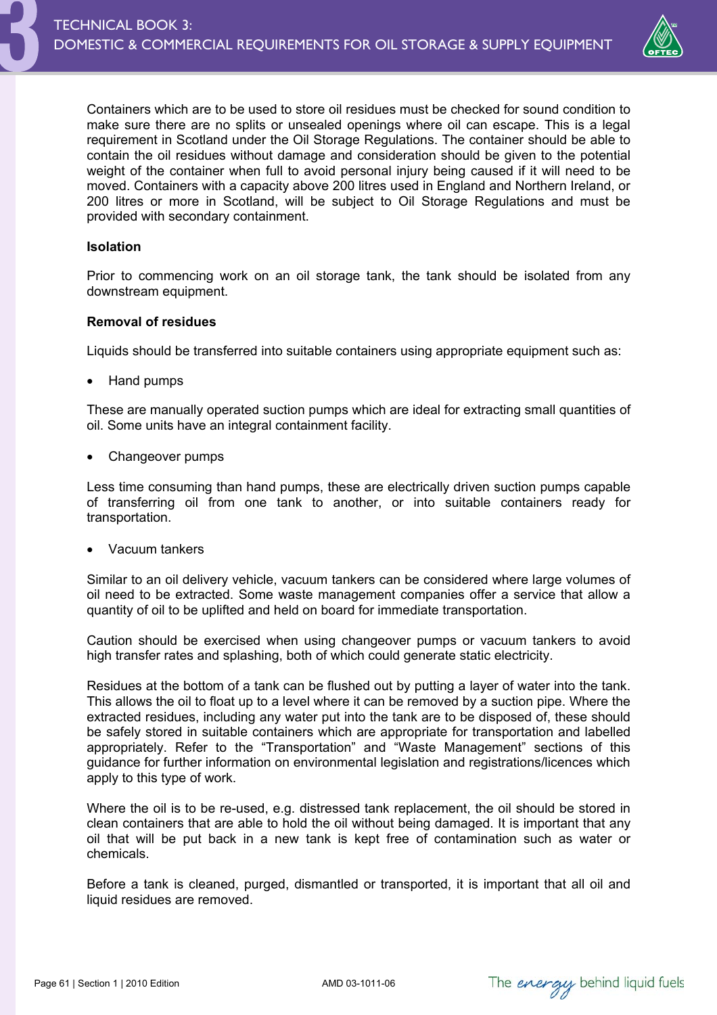

Containers which are to be used to store oil residues must be checked for sound condition to make sure there are no splits or unsealed openings where oil can escape. This is a legal requirement in Scotland under the Oil Storage Regulations. The container should be able to contain the oil residues without damage and consideration should be given to the potential weight of the container when full to avoid personal injury being caused if it will need to be moved. Containers with a capacity above 200 litres used in England and Northern Ireland, or 200 litres or more in Scotland, will be subject to Oil Storage Regulations and must be provided with secondary containment.

### **Isolation**

Prior to commencing work on an oil storage tank, the tank should be isolated from any downstream equipment.

### **Removal of residues**

Liquids should be transferred into suitable containers using appropriate equipment such as:

• Hand pumps

These are manually operated suction pumps which are ideal for extracting small quantities of oil. Some units have an integral containment facility.

Changeover pumps

Less time consuming than hand pumps, these are electrically driven suction pumps capable of transferring oil from one tank to another, or into suitable containers ready for transportation.

• Vacuum tankers

Similar to an oil delivery vehicle, vacuum tankers can be considered where large volumes of oil need to be extracted. Some waste management companies offer a service that allow a quantity of oil to be uplifted and held on board for immediate transportation.

Caution should be exercised when using changeover pumps or vacuum tankers to avoid high transfer rates and splashing, both of which could generate static electricity.

Residues at the bottom of a tank can be flushed out by putting a layer of water into the tank. This allows the oil to float up to a level where it can be removed by a suction pipe. Where the extracted residues, including any water put into the tank are to be disposed of, these should be safely stored in suitable containers which are appropriate for transportation and labelled appropriately. Refer to the "Transportation" and "Waste Management" sections of this guidance for further information on environmental legislation and registrations/licences which apply to this type of work.

Where the oil is to be re-used, e.g. distressed tank replacement, the oil should be stored in clean containers that are able to hold the oil without being damaged. It is important that any oil that will be put back in a new tank is kept free of contamination such as water or chemicals.

Before a tank is cleaned, purged, dismantled or transported, it is important that all oil and liquid residues are removed.

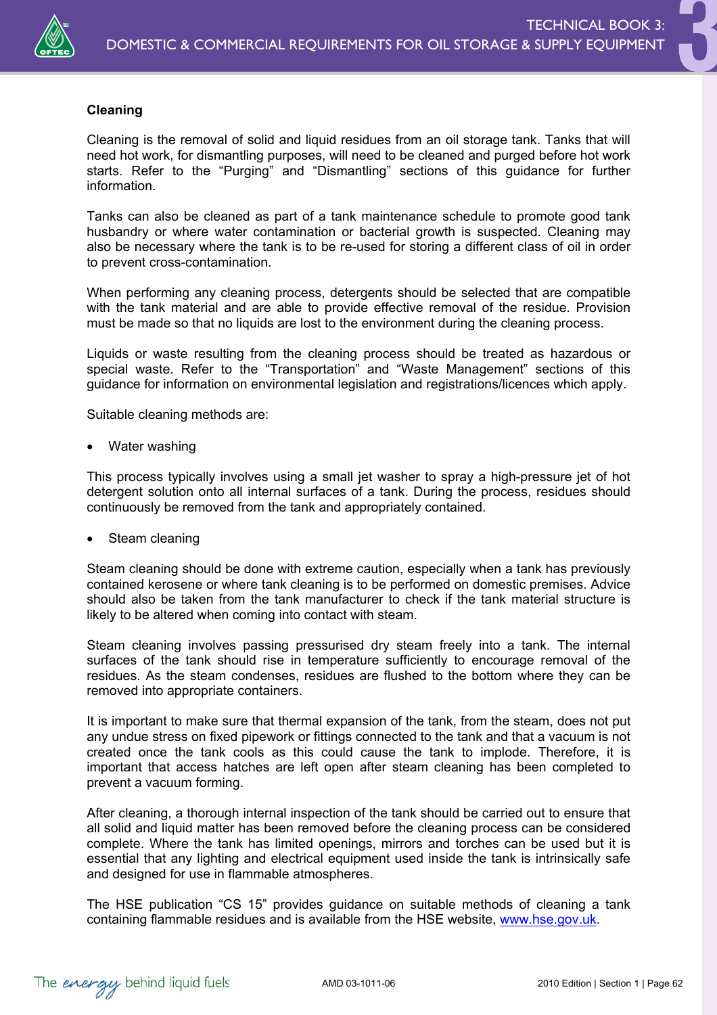

### **Cleaning**

Cleaning is the removal of solid and liquid residues from an oil storage tank. Tanks that will need hot work, for dismantling purposes, will need to be cleaned and purged before hot work starts. Refer to the "Purging" and "Dismantling" sections of this guidance for further information.

Tanks can also be cleaned as part of a tank maintenance schedule to promote good tank husbandry or where water contamination or bacterial growth is suspected. Cleaning may also be necessary where the tank is to be re-used for storing a different class of oil in order to prevent cross-contamination.

When performing any cleaning process, detergents should be selected that are compatible with the tank material and are able to provide effective removal of the residue. Provision must be made so that no liquids are lost to the environment during the cleaning process.

Liquids or waste resulting from the cleaning process should be treated as hazardous or special waste. Refer to the "Transportation" and "Waste Management" sections of this guidance for information on environmental legislation and registrations/licences which apply.

Suitable cleaning methods are:

Water washing

This process typically involves using a small jet washer to spray a high-pressure jet of hot detergent solution onto all internal surfaces of a tank. During the process, residues should continuously be removed from the tank and appropriately contained.

Steam cleaning

Steam cleaning should be done with extreme caution, especially when a tank has previously contained kerosene or where tank cleaning is to be performed on domestic premises. Advice should also be taken from the tank manufacturer to check if the tank material structure is likely to be altered when coming into contact with steam.

Steam cleaning involves passing pressurised dry steam freely into a tank. The internal surfaces of the tank should rise in temperature sufficiently to encourage removal of the residues. As the steam condenses, residues are flushed to the bottom where they can be removed into appropriate containers.

It is important to make sure that thermal expansion of the tank, from the steam, does not put any undue stress on fixed pipework or fittings connected to the tank and that a vacuum is not created once the tank cools as this could cause the tank to implode. Therefore, it is important that access hatches are left open after steam cleaning has been completed to prevent a vacuum forming.

After cleaning, a thorough internal inspection of the tank should be carried out to ensure that all solid and liquid matter has been removed before the cleaning process can be considered complete. Where the tank has limited openings, mirrors and torches can be used but it is essential that any lighting and electrical equipment used inside the tank is intrinsically safe and designed for use in flammable atmospheres.

The HSE publication "CS 15" provides guidance on suitable methods of cleaning a tank containing flammable residues and is available from the HSE website, www.hse.gov.uk.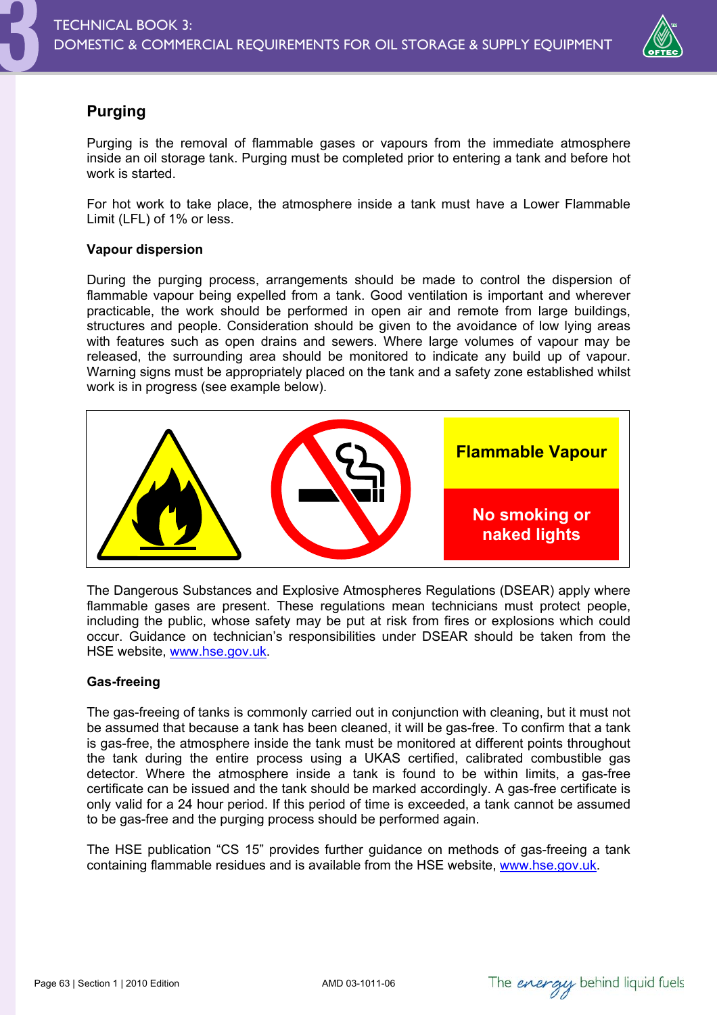

# **Purging**

Purging is the removal of flammable gases or vapours from the immediate atmosphere inside an oil storage tank. Purging must be completed prior to entering a tank and before hot work is started.

For hot work to take place, the atmosphere inside a tank must have a Lower Flammable Limit (LFL) of 1% or less.

### **Vapour dispersion**

During the purging process, arrangements should be made to control the dispersion of flammable vapour being expelled from a tank. Good ventilation is important and wherever practicable, the work should be performed in open air and remote from large buildings, structures and people. Consideration should be given to the avoidance of low lying areas with features such as open drains and sewers. Where large volumes of vapour may be released, the surrounding area should be monitored to indicate any build up of vapour. Warning signs must be appropriately placed on the tank and a safety zone established whilst work is in progress (see example below).



The Dangerous Substances and Explosive Atmospheres Regulations (DSEAR) apply where flammable gases are present. These regulations mean technicians must protect people, including the public, whose safety may be put at risk from fires or explosions which could occur. Guidance on technician's responsibilities under DSEAR should be taken from the HSE website, www.hse.gov.uk.

### **Gas-freeing**

The gas-freeing of tanks is commonly carried out in conjunction with cleaning, but it must not be assumed that because a tank has been cleaned, it will be gas-free. To confirm that a tank is gas-free, the atmosphere inside the tank must be monitored at different points throughout the tank during the entire process using a UKAS certified, calibrated combustible gas detector. Where the atmosphere inside a tank is found to be within limits, a gas-free certificate can be issued and the tank should be marked accordingly. A gas-free certificate is only valid for a 24 hour period. If this period of time is exceeded, a tank cannot be assumed to be gas-free and the purging process should be performed again.

The HSE publication "CS 15" provides further guidance on methods of gas-freeing a tank containing flammable residues and is available from the HSE website, www.hse.gov.uk.

The *energy* behind liquid fuels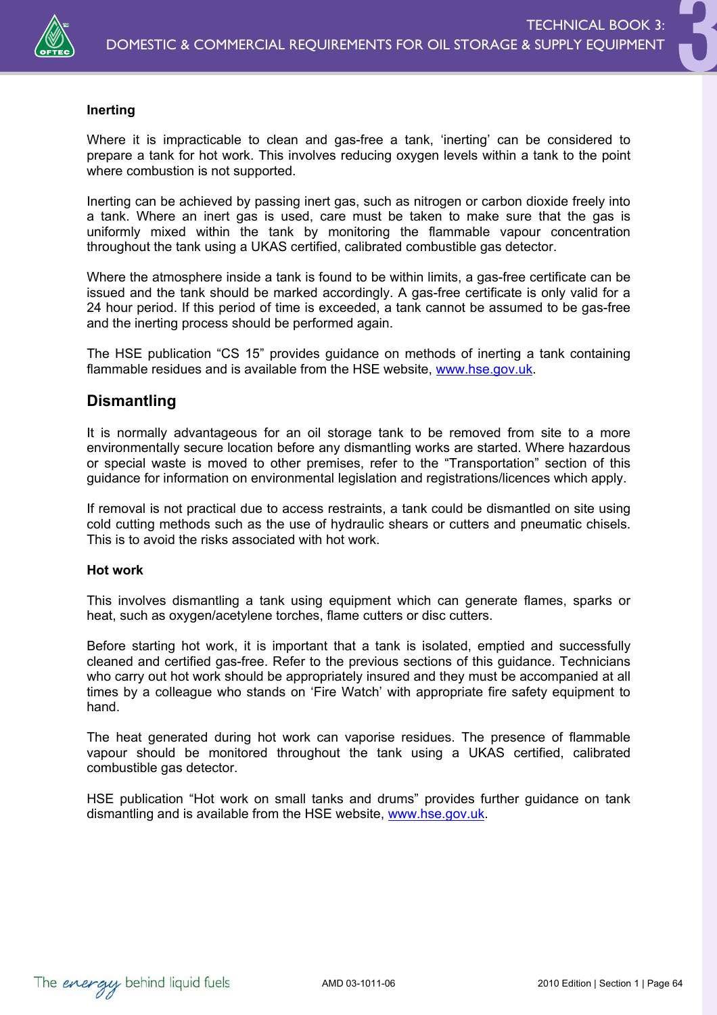

### **Inerting**

Where it is impracticable to clean and gas-free a tank, 'inerting' can be considered to prepare a tank for hot work. This involves reducing oxygen levels within a tank to the point where combustion is not supported.

Inerting can be achieved by passing inert gas, such as nitrogen or carbon dioxide freely into a tank. Where an inert gas is used, care must be taken to make sure that the gas is uniformly mixed within the tank by monitoring the flammable vapour concentration throughout the tank using a UKAS certified, calibrated combustible gas detector.

Where the atmosphere inside a tank is found to be within limits, a gas-free certificate can be issued and the tank should be marked accordingly. A gas-free certificate is only valid for a 24 hour period. If this period of time is exceeded, a tank cannot be assumed to be gas-free and the inerting process should be performed again.

The HSE publication "CS 15" provides guidance on methods of inerting a tank containing flammable residues and is available from the HSE website, www.hse.gov.uk.

### **Dismantling**

It is normally advantageous for an oil storage tank to be removed from site to a more environmentally secure location before any dismantling works are started. Where hazardous or special waste is moved to other premises, refer to the "Transportation" section of this guidance for information on environmental legislation and registrations/licences which apply.

If removal is not practical due to access restraints, a tank could be dismantled on site using cold cutting methods such as the use of hydraulic shears or cutters and pneumatic chisels. This is to avoid the risks associated with hot work.

#### **Hot work**

This involves dismantling a tank using equipment which can generate flames, sparks or heat, such as oxygen/acetylene torches, flame cutters or disc cutters.

Before starting hot work, it is important that a tank is isolated, emptied and successfully cleaned and certified gas-free. Refer to the previous sections of this guidance. Technicians who carry out hot work should be appropriately insured and they must be accompanied at all times by a colleague who stands on 'Fire Watch' with appropriate fire safety equipment to hand.

The heat generated during hot work can vaporise residues. The presence of flammable vapour should be monitored throughout the tank using a UKAS certified, calibrated combustible gas detector.

HSE publication "Hot work on small tanks and drums" provides further guidance on tank dismantling and is available from the HSE website, www.hse.gov.uk.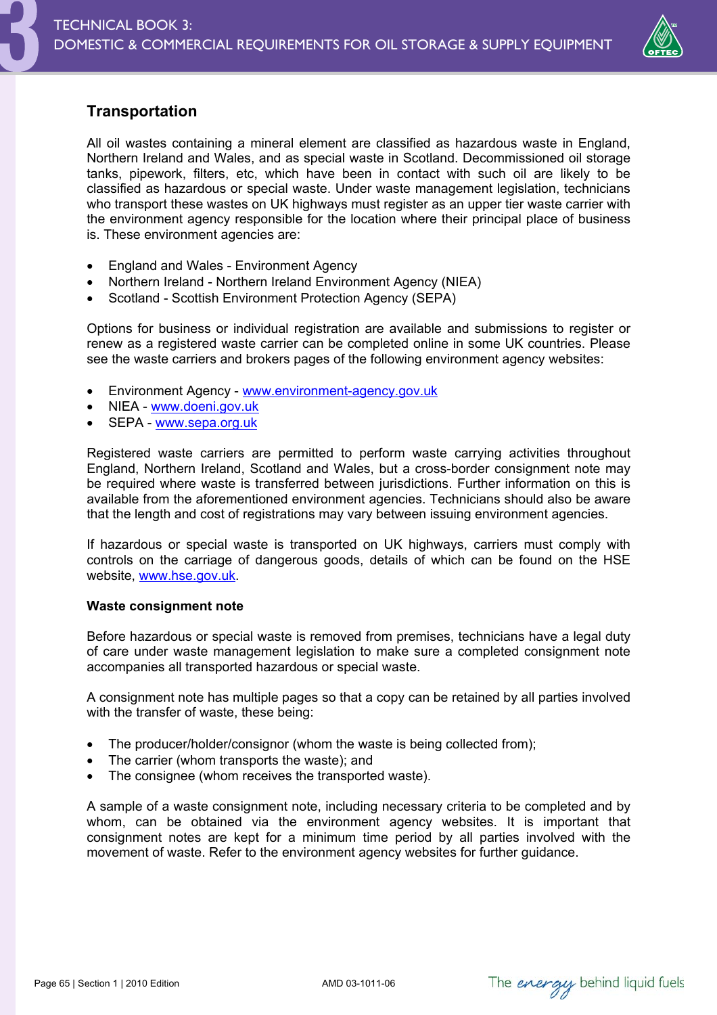

## **Transportation**

All oil wastes containing a mineral element are classified as hazardous waste in England, Northern Ireland and Wales, and as special waste in Scotland. Decommissioned oil storage tanks, pipework, filters, etc, which have been in contact with such oil are likely to be classified as hazardous or special waste. Under waste management legislation, technicians who transport these wastes on UK highways must register as an upper tier waste carrier with the environment agency responsible for the location where their principal place of business is. These environment agencies are:

- England and Wales Environment Agency
- Northern Ireland Northern Ireland Environment Agency (NIEA)
- Scotland Scottish Environment Protection Agency (SEPA)

Options for business or individual registration are available and submissions to register or renew as a registered waste carrier can be completed online in some UK countries. Please see the waste carriers and brokers pages of the following environment agency websites:

- Environment Agency www.environment-agency.gov.uk
- NIEA www.doeni.gov.uk
- SEPA www.sepa.org.uk

Registered waste carriers are permitted to perform waste carrying activities throughout England, Northern Ireland, Scotland and Wales, but a cross-border consignment note may be required where waste is transferred between jurisdictions. Further information on this is available from the aforementioned environment agencies. Technicians should also be aware that the length and cost of registrations may vary between issuing environment agencies.

If hazardous or special waste is transported on UK highways, carriers must comply with controls on the carriage of dangerous goods, details of which can be found on the HSE website, www.hse.gov.uk.

### **Waste consignment note**

Before hazardous or special waste is removed from premises, technicians have a legal duty of care under waste management legislation to make sure a completed consignment note accompanies all transported hazardous or special waste.

A consignment note has multiple pages so that a copy can be retained by all parties involved with the transfer of waste, these being:

- The producer/holder/consignor (whom the waste is being collected from);
- The carrier (whom transports the waste); and
- The consignee (whom receives the transported waste).

A sample of a waste consignment note, including necessary criteria to be completed and by whom, can be obtained via the environment agency websites. It is important that consignment notes are kept for a minimum time period by all parties involved with the movement of waste. Refer to the environment agency websites for further guidance.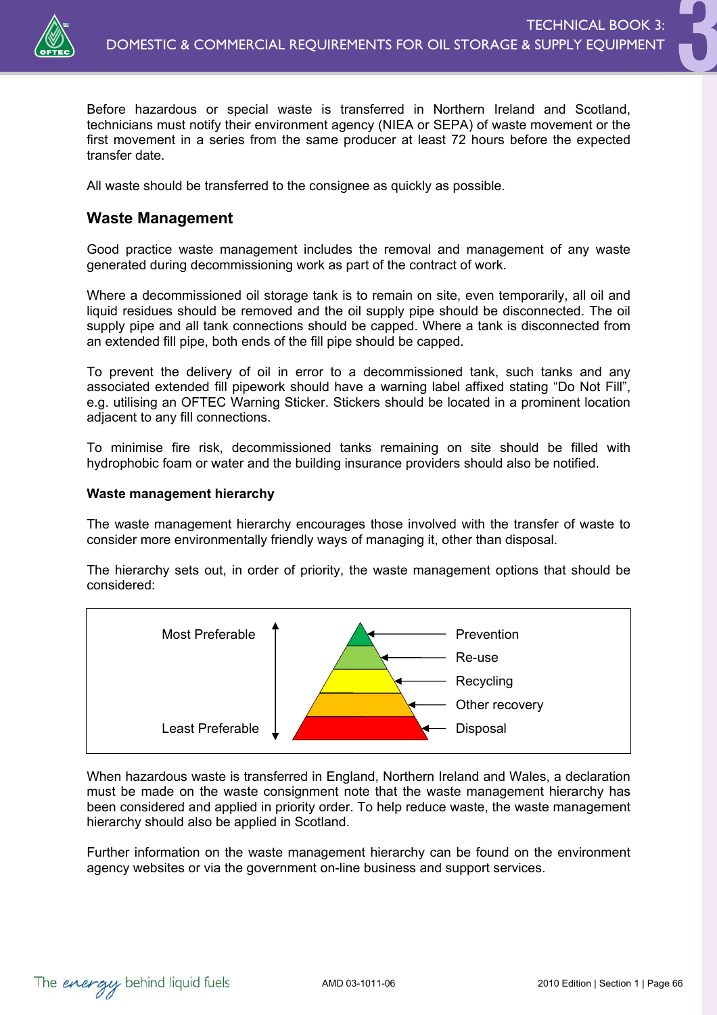

Before hazardous or special waste is transferred in Northern Ireland and Scotland, technicians must notify their environment agency (NIEA or SEPA) of waste movement or the first movement in a series from the same producer at least 72 hours before the expected transfer date.

All waste should be transferred to the consignee as quickly as possible.

### **Waste Management**

Good practice waste management includes the removal and management of any waste generated during decommissioning work as part of the contract of work.

Where a decommissioned oil storage tank is to remain on site, even temporarily, all oil and liquid residues should be removed and the oil supply pipe should be disconnected. The oil supply pipe and all tank connections should be capped. Where a tank is disconnected from an extended fill pipe, both ends of the fill pipe should be capped.

To prevent the delivery of oil in error to a decommissioned tank, such tanks and any associated extended fill pipework should have a warning label affixed stating "Do Not Fill", e.g. utilising an OFTEC Warning Sticker. Stickers should be located in a prominent location adjacent to any fill connections.

To minimise fire risk, decommissioned tanks remaining on site should be filled with hydrophobic foam or water and the building insurance providers should also be notified.

### **Waste management hierarchy**

The waste management hierarchy encourages those involved with the transfer of waste to consider more environmentally friendly ways of managing it, other than disposal.

The hierarchy sets out, in order of priority, the waste management options that should be considered:



When hazardous waste is transferred in England, Northern Ireland and Wales, a declaration must be made on the waste consignment note that the waste management hierarchy has been considered and applied in priority order. To help reduce waste, the waste management hierarchy should also be applied in Scotland.

Further information on the waste management hierarchy can be found on the environment agency websites or via the government on-line business and support services.